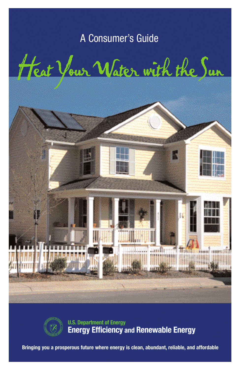## A Consumer's Guide

Heat Your Water with the Sun irin muddhiman



**U.S. Department of Energy Energy Efficiency and Renewable Energy** 

**Bringing you a prosperous future where energy is clean, abundant, reliable, and affordable**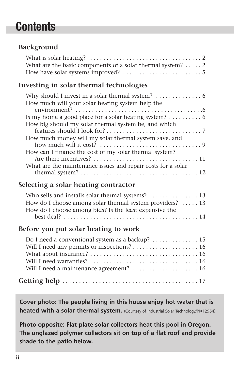## **Contents**

## **Background**

| What are the basic components of a solar thermal system?  2 |  |
|-------------------------------------------------------------|--|
|                                                             |  |

## **Investing in solar thermal technologies**

| How much will your solar heating system help the                                            |
|---------------------------------------------------------------------------------------------|
| environment? $\ldots \ldots \ldots \ldots \ldots \ldots \ldots \ldots \ldots \ldots \ldots$ |
| Is my home a good place for a solar heating system? $\dots\dots\dots\dots$                  |
| How big should my solar thermal system be, and which                                        |
|                                                                                             |
| How much money will my solar thermal system save, and                                       |
| how much will it cost? $\dots \dots \dots \dots \dots \dots \dots \dots \dots \dots$        |
| How can I finance the cost of my solar thermal system?                                      |
|                                                                                             |
| What are the maintenance issues and repair costs for a solar                                |
|                                                                                             |

#### **Selecting a solar heating contractor**

| How do I choose among solar thermal system providers? $\dots$ 13 |
|------------------------------------------------------------------|
| How do I choose among bids? Is the least expensive the           |
|                                                                  |

### **Before you put solar heating to work**

| Do I need a conventional system as a backup? 15 |  |
|-------------------------------------------------|--|
|                                                 |  |
|                                                 |  |
|                                                 |  |
|                                                 |  |
|                                                 |  |

**Cover photo: The people living in this house enjoy hot water that is heated with a solar thermal system.** (Courtesy of Industrial Solar Technology/PIX12964)

**Photo opposite: Flat-plate solar collectors heat this pool in Oregon. The unglazed polymer collectors sit on top of a flat roof and provide shade to the patio below.**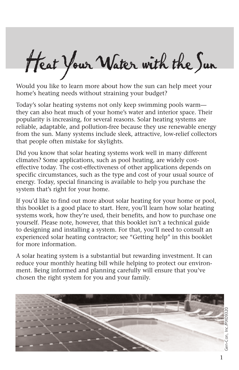Heat Your Water with the Sun

Would you like to learn more about how the sun can help meet your home's heating needs without straining your budget?

Today's solar heating systems not only keep swimming pools warm they can also heat much of your home's water and interior space. Their popularity is increasing, for several reasons. Solar heating systems are reliable, adaptable, and pollution-free because they use renewable energy from the sun. Many systems include sleek, attractive, low-relief collectors that people often mistake for skylights.

Did you know that solar heating systems work well in many different climates? Some applications, such as pool heating, are widely costeffective today. The cost-effectiveness of other applications depends on specific circumstances, such as the type and cost of your usual source of energy. Today, special financing is available to help you purchase the system that's right for your home.

If you'd like to find out more about solar heating for your home or pool, this booklet is a good place to start. Here, you'll learn how solar heating systems work, how they're used, their benefits, and how to purchase one yourself. Please note, however, that this booklet isn't a technical guide to designing and installing a system. For that, you'll need to consult an experienced solar heating contractor; see "Getting help" in this booklet for more information.

A solar heating system is a substantial but rewarding investment. It can reduce your monthly heating bill while helping to protect our environment. Being informed and planning carefully will ensure that you've chosen the right system for you and your family.

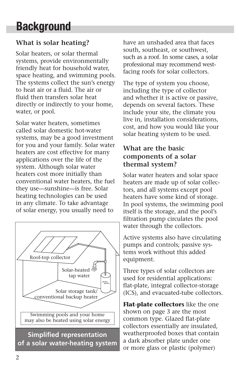# **Background**

## **What is solar heating?**

Solar heaters, or solar thermal systems, provide environmentally friendly heat for household water, space heating, and swimming pools. The systems collect the sun's energy to heat air or a fluid. The air or fluid then transfers solar heat directly or indirectly to your home, water, or pool.

Solar water heaters, sometimes called solar domestic hot-water systems, may be a good investment for you and your family. Solar water heaters are cost effective for many applications over the life of the system. Although solar water heaters cost more initially than conventional water heaters, the fuel they use—sunshine—is free. Solar heating technologies can be used in any climate. To take advantage of solar energy, you usually need to



have an unshaded area that faces south, southeast, or southwest, such as a roof. In some cases, a solar professional may recommend westfacing roofs for solar collectors.

The type of system you choose, including the type of collector and whether it is active or passive, depends on several factors. These include your site, the climate you live in, installation considerations, cost, and how you would like your solar heating system to be used.

## **What are the basic components of a solar thermal system?**

Solar water heaters and solar space heaters are made up of solar collectors, and all systems except pool heaters have some kind of storage. In pool systems, the swimming pool itself is the storage, and the pool's filtration pump circulates the pool water through the collectors.

Active systems also have circulating pumps and controls; passive systems work without this added equipment.

Three types of solar collectors are used for residential applications: flat-plate, integral collector-storage (ICS), and evacuated-tube collectors.

**Flat-plate collectors** like the one shown on page 3 are the most common type. Glazed flat-plate collectors essentially are insulated, weatherproofed boxes that contain a dark absorber plate under one or more glass or plastic (polymer)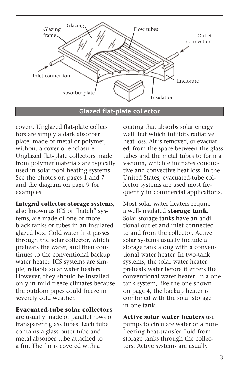

covers. Unglazed flat-plate collectors are simply a dark absorber plate, made of metal or polymer, without a cover or enclosure. Unglazed flat-plate collectors made from polymer materials are typically used in solar pool-heating systems. See the photos on pages 1 and 7 and the diagram on page 9 for examples.

#### **Integral collector-storage systems,**

also known as ICS or "batch" systems, are made of one or more black tanks or tubes in an insulated, glazed box. Cold water first passes through the solar collector, which preheats the water, and then continues to the conventional backup water heater. ICS systems are simple, reliable solar water heaters. However, they should be installed only in mild-freeze climates because the outdoor pipes could freeze in severely cold weather.

#### **Evacuated-tube solar collectors**

are usually made of parallel rows of transparent glass tubes. Each tube contains a glass outer tube and metal absorber tube attached to a fin. The fin is covered with a

coating that absorbs solar energy well, but which inhibits radiative heat loss. Air is removed, or evacuated, from the space between the glass tubes and the metal tubes to form a vacuum, which eliminates conductive and convective heat loss. In the United States, evacuated-tube collector systems are used most frequently in commercial applications.

Most solar water heaters require a well-insulated **storage tank**. Solar storage tanks have an additional outlet and inlet connected to and from the collector. Active solar systems usually include a storage tank along with a conventional water heater. In two-tank systems, the solar water heater preheats water before it enters the conventional water heater. In a onetank system, like the one shown on page 4, the backup heater is combined with the solar storage in one tank.

**Active solar water heaters** use pumps to circulate water or a nonfreezing heat-transfer fluid from storage tanks through the collectors. Active systems are usually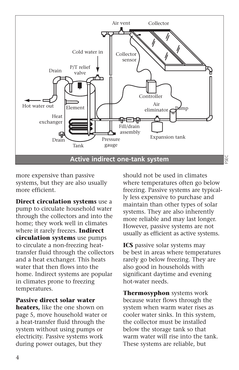

more expensive than passive systems, but they are also usually more efficient.

**Direct circulation systems** use a pump to circulate household water through the collectors and into the home; they work well in climates where it rarely freezes. **Indirect circulation systems** use pumps to circulate a non-freezing heattransfer fluid through the collectors and a heat exchanger. This heats water that then flows into the home. Indirect systems are popular in climates prone to freezing temperatures.

**Passive direct solar water**

**heaters,** like the one shown on page 5, move household water or a heat-transfer fluid through the system without using pumps or electricity. Passive systems work during power outages, but they

should not be used in climates where temperatures often go below freezing. Passive systems are typically less expensive to purchase and maintain than other types of solar systems. They are also inherently more reliable and may last longer. However, passive systems are not usually as efficient as active systems.

**ICS** passive solar systems may be best in areas where temperatures rarely go below freezing. They are also good in households with significant daytime and evening hot-water needs.

**Thermosyphon** systems work because water flows through the system when warm water rises as cooler water sinks. In this system, the collector must be installed below the storage tank so that warm water will rise into the tank. These systems are reliable, but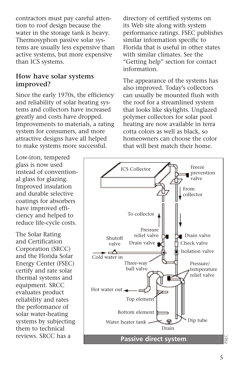contractors must pay careful attention to roof design because the water in the storage tank is heavy. Thermosyphon passive solar systems are usually less expensive than active systems, but more expensive than ICS systems.

### **How have solar systems improved?**

Low-iron, tempered glass is now used

Since the early 1970s, the efficiency and reliability of solar heating systems and collectors have increased greatly and costs have dropped. Improvements to materials, a rating system for consumers, and more attractive designs have all helped to make systems more successful.

directory of certified systems on its Web site along with system performance ratings. FSEC publishes similar information specific to Florida that is useful in other states with similar climates. See the "Getting help" section for contact information.

The appearance of the systems has also improved. Today's collectors can usually be mounted flush with the roof for a streamlined system that looks like skylights. Unglazed polymer collectors for solar pool heating are now available in terra cotta colors as well as black, so homeowners can choose the color that will best match their home.

instead of conventional glass for glazing. Improved insulation and durable selective coatings for absorbers have improved efficiency and helped to reduce life-cycle costs. The Solar Rating and Certification Corporation (SRCC) and the Florida Solar Energy Center (FSEC) certify and rate solar thermal systems and equipment. SRCC evaluates product reliability and rates the performance of solar water-heating systems by subjecting them to technical reviews. SRCC has a

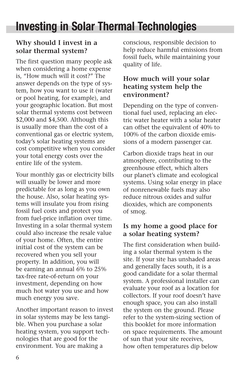## **Investing in Solar Thermal Technologies**

## **Why should I invest in a solar thermal system?**

The first question many people ask when considering a home expense is, "How much will it cost?" The answer depends on the type of system, how you want to use it (water or pool heating, for example), and your geographic location. But most solar thermal systems cost between \$2,000 and \$4,500. Although this is usually more than the cost of a conventional gas or electric system, today's solar heating systems are cost competitive when you consider your total energy costs over the entire life of the system.

Your monthly gas or electricity bills will usually be lower and more predictable for as long as you own the house. Also, solar heating systems will insulate you from rising fossil fuel costs and protect you from fuel-price inflation over time. Investing in a solar thermal system could also increase the resale value of your home. Often, the entire initial cost of the system can be recovered when you sell your property. In addition, you will be earning an annual 6% to 25% tax-free rate-of-return on your investment, depending on how much hot water you use and how much energy you save.

Another important reason to invest in solar systems may be less tangible. When you purchase a solar heating system, you support technologies that are good for the environment. You are making a

conscious, responsible decision to help reduce harmful emissions from fossil fuels, while maintaining your quality of life.

## **How much will your solar heating system help the environment?**

Depending on the type of conventional fuel used, replacing an electric water heater with a solar heater can offset the equivalent of 40% to 100% of the carbon dioxide emissions of a modern passenger car.

Carbon dioxide traps heat in our atmosphere, contributing to the greenhouse effect, which alters our planet's climate and ecological systems. Using solar energy in place of nonrenewable fuels may also reduce nitrous oxides and sulfur dioxides, which are components of smog.

## **Is my home a good place for a solar heating system?**

The first consideration when building a solar thermal system is the site. If your site has unshaded areas and generally faces south, it is a good candidate for a solar thermal system. A professional installer can evaluate your roof as a location for collectors. If your roof doesn't have enough space, you can also install the system on the ground. Please refer to the system-sizing section of this booklet for more information on space requirements. The amount of sun that your site receives, how often temperatures dip below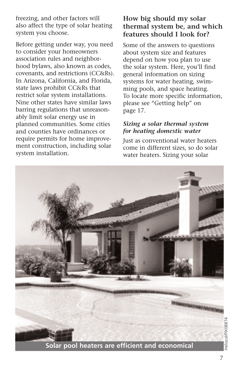freezing, and other factors will also affect the type of solar heating system you choose.

Before getting under way, you need to consider your homeowners association rules and neighborhood bylaws, also known as codes, covenants, and restrictions (CC&Rs). In Arizona, California, and Florida, state laws prohibit CC&Rs that restrict solar system installations. Nine other states have similar laws barring regulations that unreasonably limit solar energy use in planned communities. Some cities and counties have ordinances or require permits for home improvement construction, including solar system installation.

### **How big should my solar thermal system be, and which features should I look for?**

Some of the answers to questions about system size and features depend on how you plan to use the solar system. Here, you'll find general information on sizing systems for water heating, swimming pools, and space heating. To locate more specific information, please see "Getting help" on page 17.

#### *Sizing a solar thermal system for heating domestic water*

Just as conventional water heaters come in different sizes, so do solar water heaters. Sizing your solar

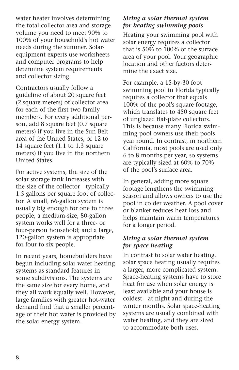water heater involves determining the total collector area and storage volume you need to meet 90% to 100% of your household's hot water needs during the summer. Solarequipment experts use worksheets and computer programs to help determine system requirements and collector sizing.

Contractors usually follow a guideline of about 20 square feet (2 square meters) of collector area for each of the first two family members. For every additional person, add 8 square feet (0.7 square meters) if you live in the Sun Belt area of the United States, or 12 to 14 square feet (1.1 to 1.3 square meters) if you live in the northern United States.

For active systems, the size of the solar storage tank increases with the size of the collector—typically 1.5 gallons per square foot of collector. A small, 66-gallon system is usually big enough for one to three people; a medium-size, 80-gallon system works well for a three- or four-person household; and a large, 120-gallon system is appropriate for four to six people.

In recent years, homebuilders have begun including solar water heating systems as standard features in some subdivisions. The systems are the same size for every home, and they all work equally well. However, large families with greater hot-water demand find that a smaller percentage of their hot water is provided by the solar energy system.

#### *Sizing a solar thermal system for heating swimming pools*

Heating your swimming pool with solar energy requires a collector that is 50% to 100% of the surface area of your pool. Your geographic location and other factors determine the exact size.

For example, a 15-by-30 foot swimming pool in Florida typically requires a collector that equals 100% of the pool's square footage, which translates to 450 square feet of unglazed flat-plate collectors. This is because many Florida swimming pool owners use their pools year round. In contrast, in northern California, most pools are used only 6 to 8 months per year, so systems are typically sized at 60% to 70% of the pool's surface area.

In general, adding more square footage lengthens the swimming season and allows owners to use the pool in colder weather. A pool cover or blanket reduces heat loss and helps maintain warm temperatures for a longer period.

#### *Sizing a solar thermal system for space heating*

In contrast to solar water heating, solar space heating usually requires a larger, more complicated system. Space-heating systems have to store heat for use when solar energy is least available and your house is coldest—at night and during the winter months. Solar space-heating systems are usually combined with water heating, and they are sized to accommodate both uses.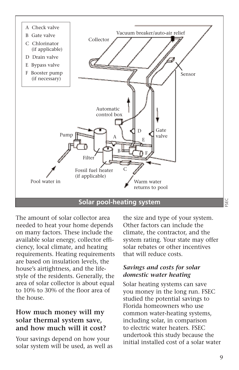

The amount of solar collector area needed to heat your home depends on many factors. These include the available solar energy, collector efficiency, local climate, and heating requirements. Heating requirements are based on insulation levels, the house's airtightness, and the lifestyle of the residents. Generally, the area of solar collector is about equal to 10% to 30% of the floor area of the house.

### **How much money will my solar thermal system save, and how much will it cost?**

Your savings depend on how your solar system will be used, as well as the size and type of your system. Other factors can include the climate, the contractor, and the system rating. Your state may offer solar rebates or other incentives that will reduce costs.

#### *Savings and costs for solar domestic water heating*

Solar heating systems can save you money in the long run. FSEC studied the potential savings to Florida homeowners who use common water-heating systems, including solar, in comparison to electric water heaters. FSEC undertook this study because the initial installed cost of a solar water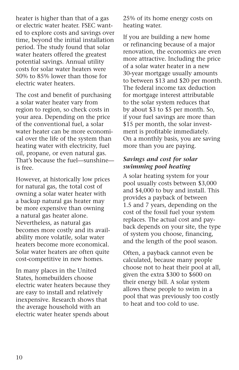heater is higher than that of a gas or electric water heater. FSEC wanted to explore costs and savings over time, beyond the initial installation period. The study found that solar water heaters offered the greatest potential savings. Annual utility costs for solar water heaters were 50% to 85% lower than those for electric water heaters.

The cost and benefit of purchasing a solar water heater vary from region to region, so check costs in your area. Depending on the price of the conventional fuel, a solar water heater can be more economical over the life of the system than heating water with electricity, fuel oil, propane, or even natural gas. That's because the fuel—sunshine is free.

However, at historically low prices for natural gas, the total cost of owning a solar water heater with a backup natural gas heater may be more expensive than owning a natural gas heater alone. Nevertheless, as natural gas becomes more costly and its availability more volatile, solar water heaters become more economical. Solar water heaters are often quite cost-competitive in new homes.

In many places in the United States, homebuilders choose electric water heaters because they are easy to install and relatively inexpensive. Research shows that the average household with an electric water heater spends about

25% of its home energy costs on heating water.

If you are building a new home or refinancing because of a major renovation, the economics are even more attractive. Including the price of a solar water heater in a new 30-year mortgage usually amounts to between \$13 and \$20 per month. The federal income tax deduction for mortgage interest attributable to the solar system reduces that by about \$3 to \$5 per month. So, if your fuel savings are more than \$15 per month, the solar investment is profitable immediately. On a monthly basis, you are saving more than you are paying.

#### *Savings and cost for solar swimming pool heating*

A solar heating system for your pool usually costs between \$3,000 and \$4,000 to buy and install. This provides a payback of between 1.5 and 7 years, depending on the cost of the fossil fuel your system replaces. The actual cost and payback depends on your site, the type of system you choose, financing, and the length of the pool season.

Often, a payback cannot even be calculated, because many people choose not to heat their pool at all, given the extra \$300 to \$600 on their energy bill. A solar system allows these people to swim in a pool that was previously too costly to heat and too cold to use.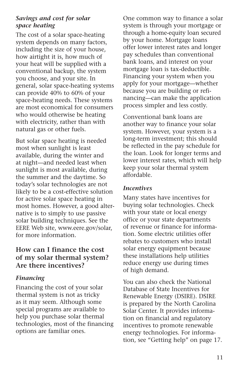#### *Savings and cost for solar space heating*

The cost of a solar space-heating system depends on many factors, including the size of your house, how airtight it is, how much of your heat will be supplied with a conventional backup, the system you choose, and your site. In general, solar space-heating systems can provide 40% to 60% of your space-heating needs. These systems are most economical for consumers who would otherwise be heating with electricity, rather than with natural gas or other fuels.

But solar space heating is needed most when sunlight is least available, during the winter and at night—and needed least when sunlight is most available, during the summer and the daytime. So today's solar technologies are not likely to be a cost-effective solution for active solar space heating in most homes. However, a good alternative is to simply to use passive solar building techniques. See the EERE Web site, www.eere.gov/solar, for more information.

### **How can I finance the cost of my solar thermal system? Are there incentives?**

### *Financing*

Financing the cost of your solar thermal system is not as tricky as it may seem. Although some special programs are available to help you purchase solar thermal technologies, most of the financing options are familiar ones.

One common way to finance a solar system is through your mortgage or through a home-equity loan secured by your home. Mortgage loans offer lower interest rates and longer pay schedules than conventional bank loans, and interest on your mortgage loan is tax-deductible. Financing your system when you apply for your mortgage—whether because you are building or refinancing—can make the application process simpler and less costly.

Conventional bank loans are another way to finance your solar system. However, your system is a long-term investment; this should be reflected in the pay schedule for the loan. Look for longer terms and lower interest rates, which will help keep your solar thermal system affordable.

#### *Incentives*

Many states have incentives for buying solar technologies. Check with your state or local energy office or your state departments of revenue or finance for information. Some electric utilities offer rebates to customers who install solar energy equipment because these installations help utilities reduce energy use during times of high demand.

You can also check the National Database of State Incentives for Renewable Energy (DSIRE). DSIRE is prepared by the North Carolina Solar Center. It provides information on financial and regulatory incentives to promote renewable energy technologies. For information, see "Getting help" on page 17.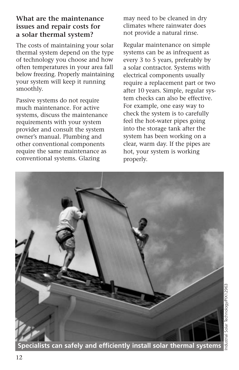## **What are the maintenance issues and repair costs for a solar thermal system?**

The costs of maintaining your solar thermal system depend on the type of technology you choose and how often temperatures in your area fall below freezing. Properly maintaining your system will keep it running smoothly.

Passive systems do not require much maintenance. For active systems, discuss the maintenance requirements with your system provider and consult the system owner's manual. Plumbing and other conventional components require the same maintenance as conventional systems. Glazing

may need to be cleaned in dry climates where rainwater does not provide a natural rinse.

Regular maintenance on simple systems can be as infrequent as every 3 to 5 years, preferably by a solar contractor. Systems with electrical components usually require a replacement part or two after 10 years. Simple, regular system checks can also be effective. For example, one easy way to check the system is to carefully feel the hot-water pipes going into the storage tank after the system has been working on a clear, warm day. If the pipes are hot, your system is working properly.



**Specialists can safely and efficiently install solar thermal systems**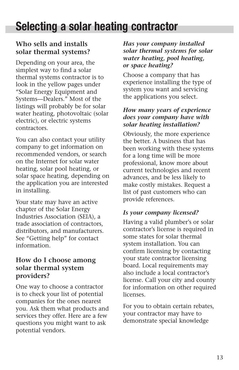## **Selecting a solar heating contractor**

## **Who sells and installs solar thermal systems?**

Depending on your area, the simplest way to find a solar thermal systems contractor is to look in the yellow pages under "Solar Energy Equipment and Systems—Dealers." Most of the listings will probably be for solar water heating, photovoltaic (solar electric), or electric systems contractors.

You can also contact your utility company to get information on recommended vendors, or search on the Internet for solar water heating, solar pool heating, or solar space heating, depending on the application you are interested in installing.

Your state may have an active chapter of the Solar Energy Industries Association (SEIA), a trade association of contractors, distributors, and manufacturers. See "Getting help" for contact information.

## **How do I choose among solar thermal system providers?**

One way to choose a contractor is to check your list of potential companies for the ones nearest you. Ask them what products and services they offer. Here are a few questions you might want to ask potential vendors.

#### *Has your company installed solar thermal systems for solar water heating, pool heating, or space heating?*

Choose a company that has experience installing the type of system you want and servicing the applications you select.

#### *How many years of experience does your company have with solar heating installation?*

Obviously, the more experience the better. A business that has been working with these systems for a long time will be more professional, know more about current technologies and recent advances, and be less likely to make costly mistakes. Request a list of past customers who can provide references.

#### *Is your company licensed?*

Having a valid plumber's or solar contractor's license is required in some states for solar thermal system installation. You can confirm licensing by contacting your state contractor licensing board. Local requirements may also include a local contractor's license. Call your city and county for information on other required licenses.

For you to obtain certain rebates, your contractor may have to demonstrate special knowledge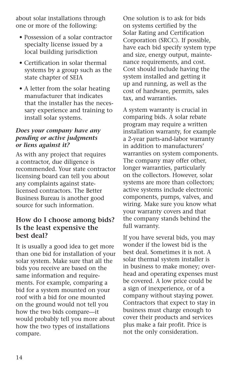about solar installations through one or more of the following:

- Possession of a solar contractor specialty license issued by a local building jurisdiction
- Certification in solar thermal systems by a group such as the state chapter of SEIA
- A letter from the solar heating manufacturer that indicates that the installer has the necessary experience and training to install solar systems.

#### *Does your company have any pending or active judgments or liens against it?*

As with any project that requires a contractor, due diligence is recommended. Your state contractor licensing board can tell you about any complaints against statelicensed contractors. The Better Business Bureau is another good source for such information.

## **How do I choose among bids? Is the least expensive the best deal?**

It is usually a good idea to get more than one bid for installation of your solar system. Make sure that all the bids you receive are based on the same information and requirements. For example, comparing a bid for a system mounted on your roof with a bid for one mounted on the ground would not tell you how the two bids compare—it would probably tell you more about how the two types of installations compare.

One solution is to ask for bids on systems certified by the Solar Rating and Certification Corporation (SRCC). If possible, have each bid specify system type and size, energy output, maintenance requirements, and cost. Cost should include having the system installed and getting it up and running, as well as the cost of hardware, permits, sales tax, and warranties.

A system warranty is crucial in comparing bids. A solar rebate program may require a written installation warranty, for example a 2-year parts-and-labor warranty in addition to manufacturers' warranties on system components. The company may offer other, longer warranties, particularly on the collectors. However, solar systems are more than collectors; active systems include electronic components, pumps, valves, and wiring. Make sure you know what your warranty covers and that the company stands behind the full warranty.

If you have several bids, you may wonder if the lowest bid is the best deal. Sometimes it is not. A solar thermal system installer is in business to make money; overhead and operating expenses must be covered. A low price could be a sign of inexperience, or of a company without staying power. Contractors that expect to stay in business must charge enough to cover their products and services plus make a fair profit. Price is not the only consideration.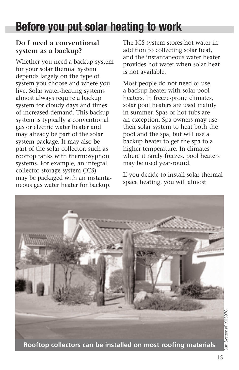# **Before you put solar heating to work**

## **Do I need a conventional system as a backup?**

Whether you need a backup system for your solar thermal system depends largely on the type of system you choose and where you live. Solar water-heating systems almost always require a backup system for cloudy days and times of increased demand. This backup system is typically a conventional gas or electric water heater and may already be part of the solar system package. It may also be part of the solar collector, such as rooftop tanks with thermosyphon systems. For example, an integral collector-storage system (ICS) may be packaged with an instantaneous gas water heater for backup.

The ICS system stores hot water in addition to collecting solar heat, and the instantaneous water heater provides hot water when solar heat is not available.

Most people do not need or use a backup heater with solar pool heaters. In freeze-prone climates, solar pool heaters are used mainly in summer. Spas or hot tubs are an exception. Spa owners may use their solar system to heat both the pool and the spa, but will use a backup heater to get the spa to a higher temperature. In climates where it rarely freezes, pool heaters may be used year-round.

If you decide to install solar thermal space heating, you will almost

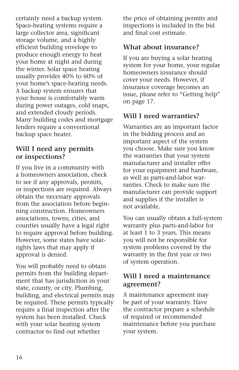certainly need a backup system. Space-heating systems require a large collector area, significant storage volume, and a highly efficient building envelope to produce enough energy to heat your home at night and during the winter. Solar space heating usually provides 40% to 60% of your home's space-heating needs. A backup system ensures that your house is comfortably warm during power outages, cold snaps, and extended cloudy periods. Many building codes and mortgage lenders require a conventional backup space heater.

### **Will I need any permits or inspections?**

If you live in a community with a homeowners association, check to see if any approvals, permits, or inspections are required. Always obtain the necessary approvals from the association before beginning construction. Homeowners associations, towns, cities, and counties usually have a legal right to require approval before building. However, some states have solarrights laws that may apply if approval is denied.

You will probably need to obtain permits from the building department that has jurisdiction in your state, county, or city. Plumbing, building, and electrical permits may be required. These permits typically require a final inspection after the system has been installed. Check with your solar heating system contractor to find out whether

the price of obtaining permits and inspections is included in the bid and final cost estimate.

## **What about insurance?**

If you are buying a solar heating system for your home, your regular homeowners insurance should cover your needs. However, if insurance coverage becomes an issue, please refer to "Getting help" on page 17.

## **Will I need warranties?**

Warranties are an important factor in the bidding process and an important aspect of the system you choose. Make sure you know the warranties that your system manufacturer and installer offer for your equipment and hardware, as well as parts-and-labor warranties. Check to make sure the manufacturer can provide support and supplies if the installer is not available.

You can usually obtain a full-system warranty plus parts-and-labor for at least 1 to 3 years. This means you will not be responsible for system problems covered by the warranty in the first year or two of system operation.

#### **Will I need a maintenance agreement?**

A maintenance agreement may be part of your warranty. Have the contractor prepare a schedule of required or recommended maintenance before you purchase your system.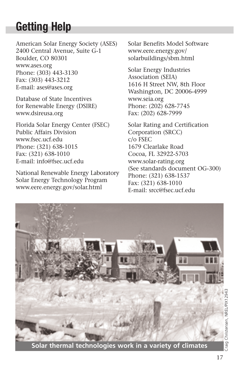# **Getting Help**

American Solar Energy Society (ASES) 2400 Central Avenue, Suite G-1 Boulder, CO 80301 www.ases.org Phone: (303) 443-3130 Fax: (303) 443-3212 E-mail: ases@ases.org

Database of State Incentives for Renewable Energy (DSIRE) www.dsireusa.org

Florida Solar Energy Center (FSEC) Public Affairs Division www.fsec.ucf.edu Phone: (321) 638-1015 Fax: (321) 638-1010 E-mail: info@fsec.ucf.edu

National Renewable Energy Laboratory Solar Energy Technology Program www.eere.energy.gov/solar.html

Solar Benefits Model Software www.eere.energy.gov/ solarbuildings/sbm.html

Solar Energy Industries Association (SEIA) 1616 H Street NW, 8th Floor Washington, DC 20006-4999 www.seia.org Phone: (202) 628-7745 Fax: (202) 628-7999

Solar Rating and Certification Corporation (SRCC) c/o FSEC 1679 Clearlake Road Cocoa, FL 32922-5703 www.solar-rating.org (See standards document OG-300) Phone: (321) 638-1537 Fax: (321) 638-1010 E-mail: srcc@fsec.ucf.edu



**Solar thermal technologies work in a variety of climates**